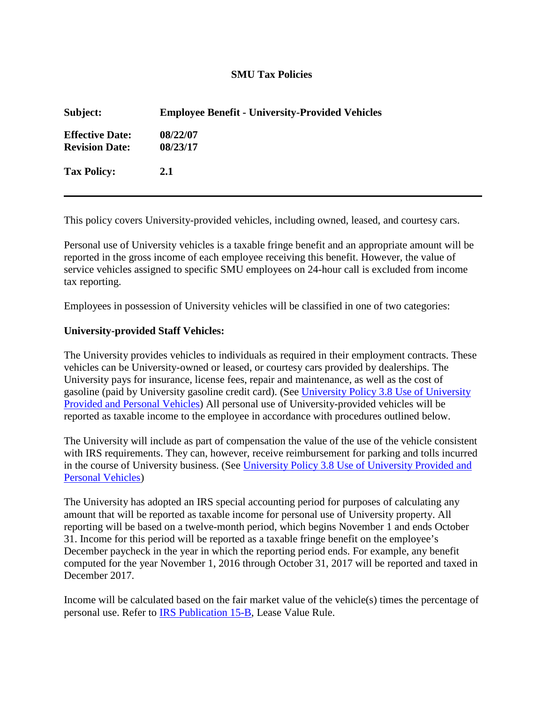## **SMU Tax Policies**

| Subject:                                        | <b>Employee Benefit - University-Provided Vehicles</b> |
|-------------------------------------------------|--------------------------------------------------------|
| <b>Effective Date:</b><br><b>Revision Date:</b> | 08/22/07<br>08/23/17                                   |
| <b>Tax Policy:</b>                              | 2.1                                                    |

This policy covers University-provided vehicles, including owned, leased, and courtesy cars.

Personal use of University vehicles is a taxable fringe benefit and an appropriate amount will be reported in the gross income of each employee receiving this benefit. However, the value of service vehicles assigned to specific SMU employees on 24-hour call is excluded from income tax reporting.

Employees in possession of University vehicles will be classified in one of two categories:

## **University-provided Staff Vehicles:**

The University provides vehicles to individuals as required in their employment contracts. These vehicles can be University-owned or leased, or courtesy cars provided by dealerships. The University pays for insurance, license fees, repair and maintenance, as well as the cost of gasoline (paid by University gasoline credit card). (See [University Policy 3.8 Use of University](https://smu365.sharepoint.com/sites/OrgHome/LegalAffairs/Policy/SitePages/3.8%20Use%20of%20University%20Provided%20and%20Personal%20Vehicles.aspx)  [Provided and Personal Vehicles\)](https://smu365.sharepoint.com/sites/OrgHome/LegalAffairs/Policy/SitePages/3.8%20Use%20of%20University%20Provided%20and%20Personal%20Vehicles.aspx) All personal use of University-provided vehicles will be reported as taxable income to the employee in accordance with procedures outlined below.

The University will include as part of compensation the value of the use of the vehicle consistent with IRS requirements. They can, however, receive reimbursement for parking and tolls incurred in the course of University business. (See University Policy 3.8 Use of University Provided and [Personal Vehicles\)](https://smu365.sharepoint.com/sites/OrgHome/LegalAffairs/Policy/SitePages/3.8%20Use%20of%20University%20Provided%20and%20Personal%20Vehicles.aspx)

The University has adopted an IRS special accounting period for purposes of calculating any amount that will be reported as taxable income for personal use of University property. All reporting will be based on a twelve-month period, which begins November 1 and ends October 31. Income for this period will be reported as a taxable fringe benefit on the employee's December paycheck in the year in which the reporting period ends. For example, any benefit computed for the year November 1, 2016 through October 31, 2017 will be reported and taxed in December 2017.

Income will be calculated based on the fair market value of the vehicle(s) times the percentage of personal use. Refer to [IRS Publication 15-B,](https://www.irs.gov/pub/irs-pdf/p15b.pdf) Lease Value Rule.